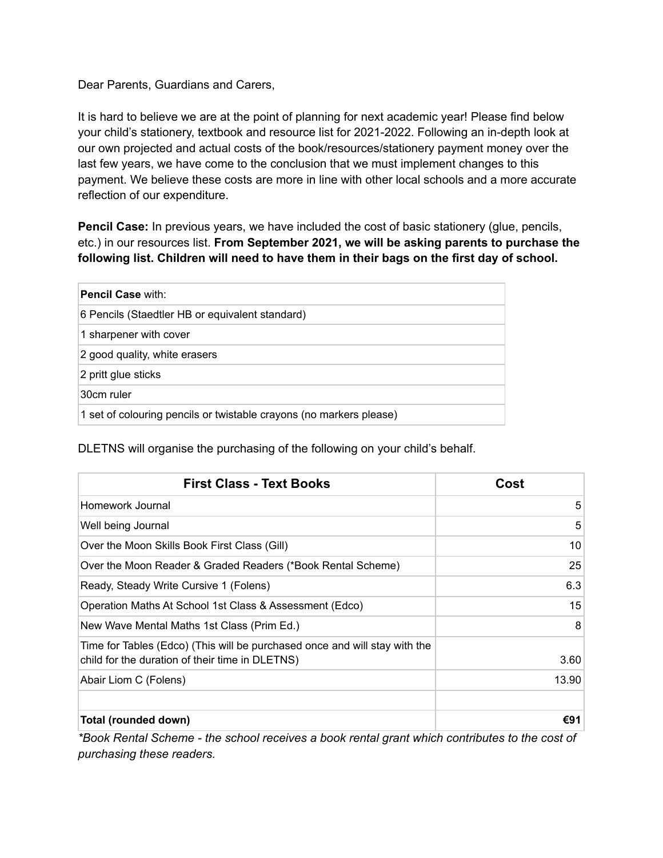Dear Parents, Guardians and Carers,

It is hard to believe we are at the point of planning for next academic year! Please find below your child's stationery, textbook and resource list for 2021-2022. Following an in-depth look at our own projected and actual costs of the book/resources/stationery payment money over the last few years, we have come to the conclusion that we must implement changes to this payment. We believe these costs are more in line with other local schools and a more accurate reflection of our expenditure.

**Pencil Case:** In previous years, we have included the cost of basic stationery (glue, pencils, etc.) in our resources list. **From September 2021, we will be asking parents to purchase the following list. Children will need to have them in their bags on the first day of school.**

| <b>Pencil Case with:</b>                                            |
|---------------------------------------------------------------------|
| 6 Pencils (Staedtler HB or equivalent standard)                     |
| 1 sharpener with cover                                              |
| 2 good quality, white erasers                                       |
| 2 pritt glue sticks                                                 |
| 30cm ruler                                                          |
| 1 set of colouring pencils or twistable crayons (no markers please) |

DLETNS will organise the purchasing of the following on your child's behalf.

| <b>First Class - Text Books</b>                                                                                               | Cost  |
|-------------------------------------------------------------------------------------------------------------------------------|-------|
| Homework Journal                                                                                                              | 5     |
| Well being Journal                                                                                                            | 5     |
| Over the Moon Skills Book First Class (Gill)                                                                                  | 10    |
| Over the Moon Reader & Graded Readers (*Book Rental Scheme)                                                                   | 25    |
| Ready, Steady Write Cursive 1 (Folens)                                                                                        | 6.3   |
| Operation Maths At School 1st Class & Assessment (Edco)                                                                       | 15    |
| New Wave Mental Maths 1st Class (Prim Ed.)                                                                                    | 8     |
| Time for Tables (Edco) (This will be purchased once and will stay with the<br>child for the duration of their time in DLETNS) | 3.60  |
| Abair Liom C (Folens)                                                                                                         | 13.90 |
| Total (rounded down)                                                                                                          | €91   |

*\*Book Rental Scheme - the school receives a book rental grant which contributes to the cost of purchasing these readers.*